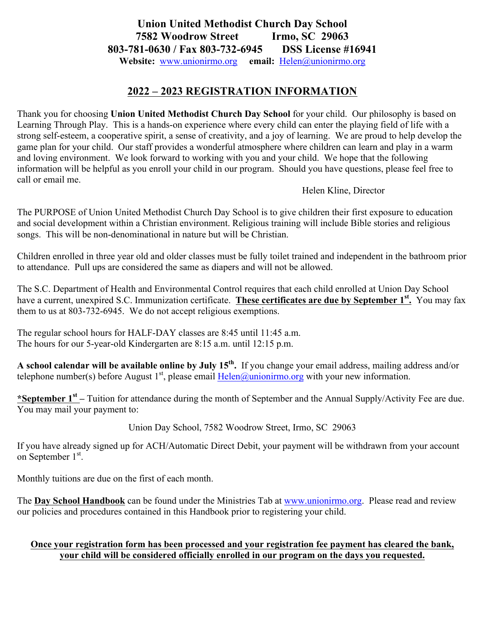## **Union United Methodist Church Day School 7582 Woodrow Street Irmo, SC 29063 803-781-0630 / Fax 803-732-6945 DSS License #16941 Website:** www.unionirmo.org **email:** Helen@unionirmo.org

### **2022 – 2023 REGISTRATION INFORMATION**

Thank you for choosing **Union United Methodist Church Day School** for your child. Our philosophy is based on Learning Through Play. This is a hands-on experience where every child can enter the playing field of life with a strong self-esteem, a cooperative spirit, a sense of creativity, and a joy of learning. We are proud to help develop the game plan for your child. Our staff provides a wonderful atmosphere where children can learn and play in a warm and loving environment. We look forward to working with you and your child. We hope that the following information will be helpful as you enroll your child in our program. Should you have questions, please feel free to call or email me.

Helen Kline, Director

The PURPOSE of Union United Methodist Church Day School is to give children their first exposure to education and social development within a Christian environment. Religious training will include Bible stories and religious songs. This will be non-denominational in nature but will be Christian.

Children enrolled in three year old and older classes must be fully toilet trained and independent in the bathroom prior to attendance. Pull ups are considered the same as diapers and will not be allowed.

The S.C. Department of Health and Environmental Control requires that each child enrolled at Union Day School have a current, unexpired S.C. Immunization certificate. **These certificates are due by September 1st.** You may fax them to us at 803-732-6945. We do not accept religious exemptions.

The regular school hours for HALF-DAY classes are 8:45 until 11:45 a.m. The hours for our 5-year-old Kindergarten are 8:15 a.m. until 12:15 p.m.

**A school calendar will be available online by July 15th.** If you change your email address, mailing address and/or telephone number(s) before August  $1<sup>st</sup>$ , please email Helen@unionirmo.org with your new information.

**\*September 1st –** Tuition for attendance during the month of September and the Annual Supply/Activity Fee are due. You may mail your payment to:

Union Day School, 7582 Woodrow Street, Irmo, SC 29063

If you have already signed up for ACH/Automatic Direct Debit, your payment will be withdrawn from your account on September 1<sup>st</sup>.

Monthly tuitions are due on the first of each month.

The **Day School Handbook** can be found under the Ministries Tab at www.unionirmo.org. Please read and review our policies and procedures contained in this Handbook prior to registering your child.

#### **Once your registration form has been processed and your registration fee payment has cleared the bank, your child will be considered officially enrolled in our program on the days you requested.**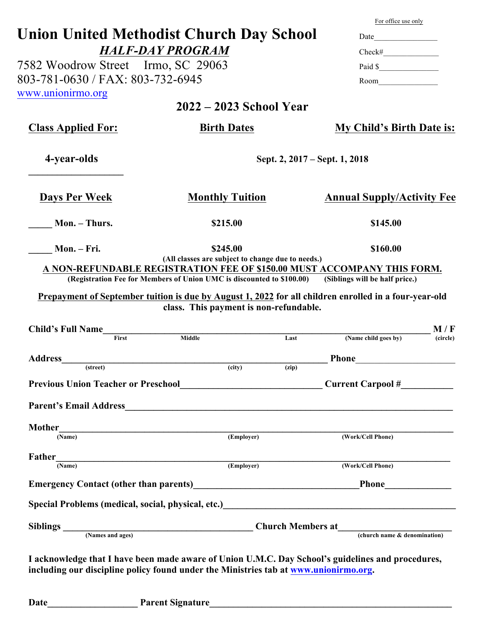|                                    |                                                                                                                                                                                                                                | For office use only                                                                                                                                                                                                                                     |  |
|------------------------------------|--------------------------------------------------------------------------------------------------------------------------------------------------------------------------------------------------------------------------------|---------------------------------------------------------------------------------------------------------------------------------------------------------------------------------------------------------------------------------------------------------|--|
|                                    | <b>Union United Methodist Church Day School</b>                                                                                                                                                                                |                                                                                                                                                                                                                                                         |  |
| <b>HALF-DAY PROGRAM</b>            | Check#<br>Paid \$<br>Room <u>____</u>                                                                                                                                                                                          |                                                                                                                                                                                                                                                         |  |
| 7582 Woodrow Street Irmo, SC 29063 |                                                                                                                                                                                                                                |                                                                                                                                                                                                                                                         |  |
| 803-781-0630 / FAX: 803-732-6945   |                                                                                                                                                                                                                                |                                                                                                                                                                                                                                                         |  |
| www.unionirmo.org                  |                                                                                                                                                                                                                                |                                                                                                                                                                                                                                                         |  |
|                                    | $2022 - 2023$ School Year                                                                                                                                                                                                      |                                                                                                                                                                                                                                                         |  |
| <b>Class Applied For:</b>          | <b>Birth Dates</b>                                                                                                                                                                                                             | My Child's Birth Date is:                                                                                                                                                                                                                               |  |
| 4-year-olds                        | Sept. 2, 2017 – Sept. 1, 2018                                                                                                                                                                                                  |                                                                                                                                                                                                                                                         |  |
| <b>Days Per Week</b>               | <b>Monthly Tuition</b><br><b>Annual Supply/Activity Fee</b>                                                                                                                                                                    |                                                                                                                                                                                                                                                         |  |
| Mon. – Thurs.                      | \$215.00<br>\$145.00                                                                                                                                                                                                           |                                                                                                                                                                                                                                                         |  |
|                                    |                                                                                                                                                                                                                                |                                                                                                                                                                                                                                                         |  |
|                                    |                                                                                                                                                                                                                                |                                                                                                                                                                                                                                                         |  |
| Mon. – Fri.                        | \$245.00<br>(All classes are subject to change due to needs.)<br>A NON-REFUNDABLE REGISTRATION FEE OF \$150.00 MUST ACCOMPANY THIS FORM.                                                                                       | \$160.00                                                                                                                                                                                                                                                |  |
|                                    | (Registration Fee for Members of Union UMC is discounted to \$100.00)<br>Prepayment of September tuition is due by August 1, 2022 for all children enrolled in a four-year-old<br>class. This payment is non-refundable.       | (Siblings will be half price.)                                                                                                                                                                                                                          |  |
| <b>Child's Full Name</b>           |                                                                                                                                                                                                                                |                                                                                                                                                                                                                                                         |  |
| First                              | Middle<br>Last                                                                                                                                                                                                                 | (Name child goes by)                                                                                                                                                                                                                                    |  |
|                                    |                                                                                                                                                                                                                                | <b>Phone</b>                                                                                                                                                                                                                                            |  |
| <b>Address</b><br>(street)         | (city)<br>(zip)                                                                                                                                                                                                                |                                                                                                                                                                                                                                                         |  |
|                                    | Previous Union Teacher or Preschool<br><u>December 2008</u> Current Carpool #                                                                                                                                                  |                                                                                                                                                                                                                                                         |  |
|                                    |                                                                                                                                                                                                                                |                                                                                                                                                                                                                                                         |  |
|                                    | Parent's Email Address have a series of the contract of the series of the contract of the contract of the contract of the contract of the contract of the contract of the contract of the contract of the contract of the cont |                                                                                                                                                                                                                                                         |  |
| <b>Mother</b><br>(Name)            | ame) (Employer)                                                                                                                                                                                                                | (Work/Cell Phone)                                                                                                                                                                                                                                       |  |
|                                    |                                                                                                                                                                                                                                |                                                                                                                                                                                                                                                         |  |
|                                    | $\frac{\text{Father}}{\text{(Name)}}$ (Employer)                                                                                                                                                                               | (Work/Cell Phone)                                                                                                                                                                                                                                       |  |
|                                    | Emergency Contact (other than parents)<br><u>Emergency Contact (other than parents)</u>                                                                                                                                        | M/F<br>(circle)<br><u> The Communication of the Communication of the Communication of the Communication of the Communication of the Communication of the Communication of the Communication of the Communication of the Communication of the Commun</u> |  |
|                                    | Special Problems (medical, social, physical, etc.)<br><u>Special Problems</u> (medical, social, physical, etc.)                                                                                                                |                                                                                                                                                                                                                                                         |  |
|                                    | Siblings (Names and ages) Church Members at (Church name & denomination)                                                                                                                                                       |                                                                                                                                                                                                                                                         |  |

| <b>Date</b><br><b>Parent Signature</b> |
|----------------------------------------|
|                                        |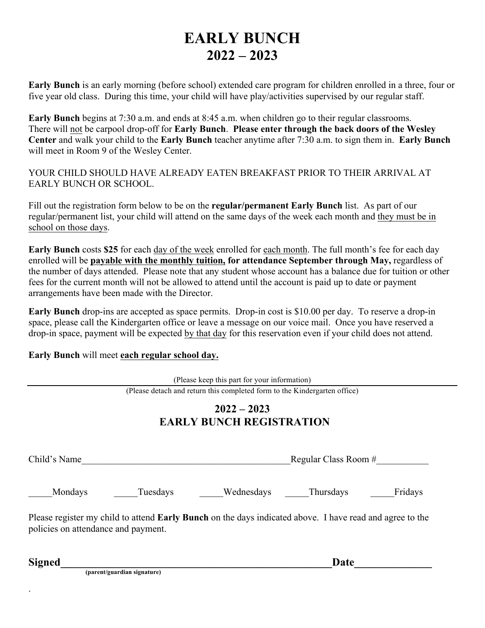## **EARLY BUNCH 2022 – 2023**

**Early Bunch** is an early morning (before school) extended care program for children enrolled in a three, four or five year old class. During this time, your child will have play/activities supervised by our regular staff.

**Early Bunch** begins at 7:30 a.m. and ends at 8:45 a.m. when children go to their regular classrooms. There will not be carpool drop-off for **Early Bunch**. **Please enter through the back doors of the Wesley Center** and walk your child to the **Early Bunch** teacher anytime after 7:30 a.m. to sign them in. **Early Bunch** will meet in Room 9 of the Wesley Center.

YOUR CHILD SHOULD HAVE ALREADY EATEN BREAKFAST PRIOR TO THEIR ARRIVAL AT EARLY BUNCH OR SCHOOL.

Fill out the registration form below to be on the **regular/permanent Early Bunch** list.As part of our regular/permanent list, your child will attend on the same days of the week each month and they must be in school on those days.

**Early Bunch** costs **\$25** for each day of the week enrolled for each month. The full month's fee for each day enrolled will be **payable with the monthly tuition, for attendance September through May,** regardless of the number of days attended. Please note that any student whose account has a balance due for tuition or other fees for the current month will not be allowed to attend until the account is paid up to date or payment arrangements have been made with the Director.

**Early Bunch** drop-ins are accepted as space permits. Drop-in cost is \$10.00 per day. To reserve a drop-in space, please call the Kindergarten office or leave a message on our voice mail. Once you have reserved a drop-in space, payment will be expected by that day for this reservation even if your child does not attend.

**Early Bunch** will meet **each regular school day.**

.

|                                     |                             | (Please keep this part for your information)                                                                    |                      |         |
|-------------------------------------|-----------------------------|-----------------------------------------------------------------------------------------------------------------|----------------------|---------|
|                                     |                             | (Please detach and return this completed form to the Kindergarten office)                                       |                      |         |
|                                     |                             | $2022 - 2023$<br><b>EARLY BUNCH REGISTRATION</b>                                                                |                      |         |
| Child's Name                        |                             |                                                                                                                 | Regular Class Room # |         |
| Mondays                             | Tuesdays                    | Wednesdays                                                                                                      | Thursdays            | Fridays |
| policies on attendance and payment. |                             | Please register my child to attend <b>Early Bunch</b> on the days indicated above. I have read and agree to the |                      |         |
| <b>Signed</b>                       | (parent/guardian signature) |                                                                                                                 | Date                 |         |